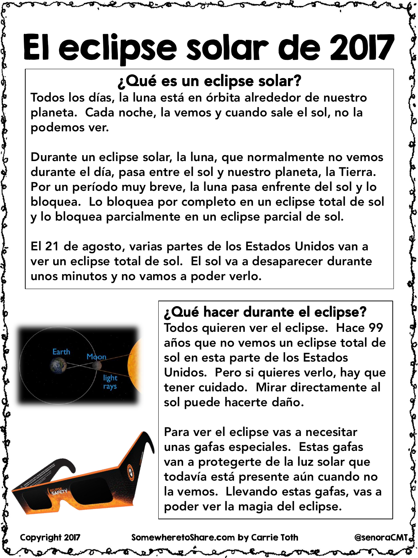# El eclipse solar de 2017

#### ¿Qué es un eclipse solar?

Todos los días, la luna está en órbita alrededor de nuestro planeta. Cada noche, la vemos y cuando sale el sol, no la podemos ver.

Durante un eclipse solar, la luna, que normalmente no vemos durante el día, pasa entre el sol y nuestro planeta, la Tierra. Por un período muy breve, la luna pasa enfrente del sol y lo bloquea. Lo bloquea por completo en un eclipse total de sol y lo bloquea parcialmente en un eclipse parcial de sol.

El 21 de agosto, varias partes de los Estados Unidos van a ver un eclipse total de sol. El sol va a desaparecer durante unos minutos y no vamos a poder verlo.



#### ¿Qué hacer durante el eclipse?

Todos quieren ver el eclipse. Hace 99 años que no vemos un eclipse total de sol en esta parte de los Estados Unidos. Pero si quieres verlo, hay que tener cuidado. Mirar directamente al sol puede hacerte daño.

Para ver el eclipse vas a necesitar unas gafas especiales. Estas gafas van a protegerte de la luz solar que todavía está presente aún cuando no la vemos. Llevando estas gafas, vas a poder ver la magia del eclipse.

Copyright 2017 SomewheretoShare.com by Carrie Toth @senoraCMT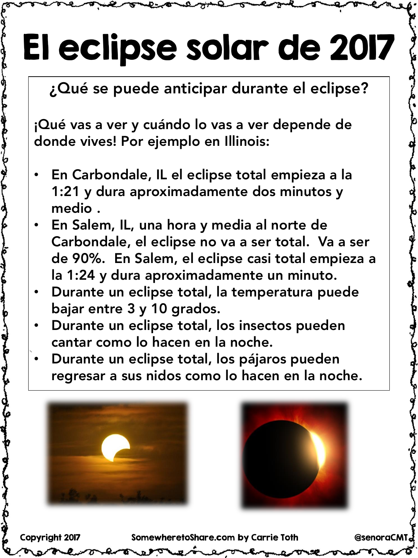# El eclipse solar de 2017

¿Qué se puede anticipar durante el eclipse?

¡Qué vas a ver y cuándo lo vas a ver depende de donde vives! Por ejemplo en Illinois:

- En Carbondale, IL el eclipse total empieza a la 1:21 y dura aproximadamente dos minutos y medio .
- En Salem, IL, una hora y media al norte de Carbondale, el eclipse no va a ser total. Va a ser de 90%. En Salem, el eclipse casi total empieza a la 1:24 y dura aproximadamente un minuto.
- Durante un eclipse total, la temperatura puede bajar entre 3 y 10 grados.
- Durante un eclipse total, los insectos pueden cantar como lo hacen en la noche.
- Durante un eclipse total, los pájaros pueden regresar a sus nidos como lo hacen en la noche.





Copyright 2017 SomewheretoShare.com by Carrie Toth @senoraCMT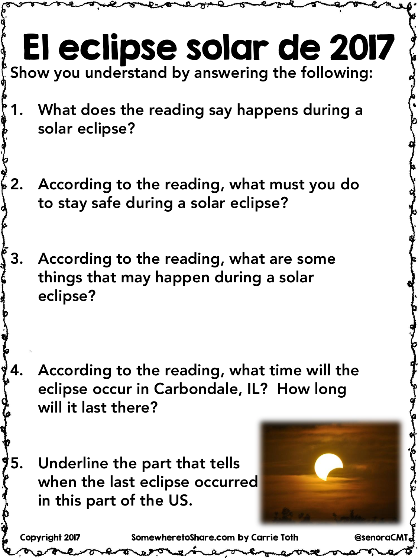### El eclipse solar de 2017 Copyright 2017 SomewheretoShare.com by Carrie Toth @senoraCMT Show you understand by answering the following: 1. What does the reading say happens during a solar eclipse? 2. According to the reading, what must you do to stay safe during a solar eclipse? 3. According to the reading, what are some things that may happen during a solar eclipse? 4. According to the reading, what time will the eclipse occur in Carbondale, IL? How long will it last there? 5. Underline the part that tells when the last eclipse occurred in this part of the US.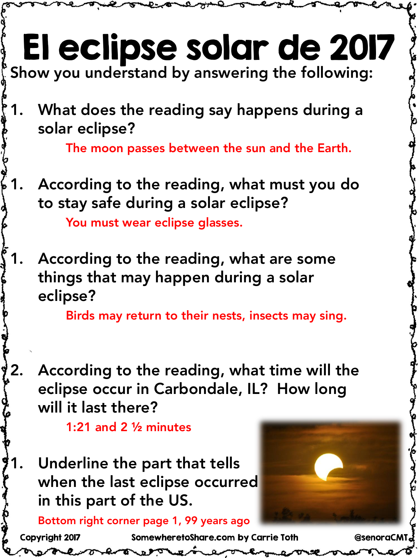#### El eclipse solar de 2017 Copyright 2017 SomewheretoShare.com by Carrie Toth @senoraCMT Show you understand by answering the following: 1. What does the reading say happens during a solar eclipse? The moon passes between the sun and the Earth. 1. According to the reading, what must you do to stay safe during a solar eclipse? You must wear eclipse glasses. According to the reading, what are some things that may happen during a solar eclipse? Birds may return to their nests, insects may sing. According to the reading, what time will the eclipse occur in Carbondale, IL? How long will it last there? 1:21 and 2 ½ minutes Underline the part that tells when the last eclipse occurred in this part of the US. Bottom right corner page 1, 99 years ago